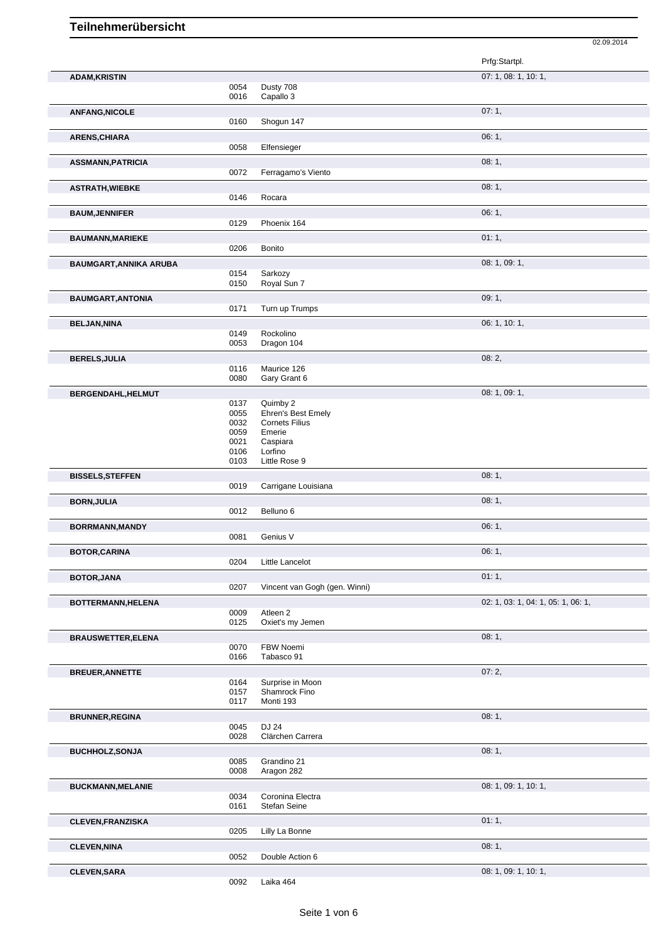|                                                    |              |                                         | Prfg:Startpl.                      |
|----------------------------------------------------|--------------|-----------------------------------------|------------------------------------|
| <b>ADAM, KRISTIN</b>                               |              |                                         | 07: 1, 08: 1, 10: 1,               |
|                                                    | 0054         | Dusty 708                               |                                    |
|                                                    | 0016         | Capallo 3                               |                                    |
| <b>ANFANG, NICOLE</b>                              |              |                                         | 07:1,                              |
|                                                    | 0160         | Shogun 147                              |                                    |
|                                                    |              |                                         |                                    |
| ARENS, CHIARA                                      |              |                                         | 06:1,                              |
|                                                    | 0058         | Elfensieger                             |                                    |
| <b>ASSMANN, PATRICIA</b>                           |              |                                         | 08:1,                              |
|                                                    | 0072         | Ferragamo's Viento                      |                                    |
| <b>ASTRATH, WIEBKE</b>                             |              |                                         | 08:1,                              |
|                                                    | 0146         | Rocara                                  |                                    |
| <b>BAUM, JENNIFER</b>                              |              |                                         | 06:1,                              |
|                                                    | 0129         | Phoenix 164                             |                                    |
|                                                    |              |                                         | 01:1,                              |
| <b>BAUMANN, MARIEKE</b>                            | 0206         | Bonito                                  |                                    |
|                                                    |              |                                         |                                    |
| <b>BAUMGART, ANNIKA ARUBA</b>                      |              |                                         | 08: 1, 09: 1,                      |
|                                                    | 0154<br>0150 | Sarkozy<br>Royal Sun 7                  |                                    |
|                                                    |              |                                         |                                    |
| <b>BAUMGART, ANTONIA</b>                           |              |                                         | 09:1,                              |
|                                                    | 0171         | Turn up Trumps                          |                                    |
| <b>BELJAN, NINA</b>                                |              |                                         | 06: 1, 10: 1,                      |
|                                                    | 0149         | Rockolino                               |                                    |
|                                                    | 0053         | Dragon 104                              |                                    |
| <b>BERELS, JULIA</b>                               |              |                                         | 08:2,                              |
|                                                    | 0116         | Maurice 126                             |                                    |
|                                                    | 0080         | Gary Grant 6                            |                                    |
| BERGENDAHL, HELMUT                                 |              |                                         | 08: 1, 09: 1,                      |
|                                                    | 0137         | Quimby 2                                |                                    |
|                                                    | 0055         | Ehren's Best Emely                      |                                    |
|                                                    | 0032         | <b>Cornets Filius</b>                   |                                    |
|                                                    | 0059         | Emerie                                  |                                    |
|                                                    | 0021<br>0106 | Caspiara<br>Lorfino                     |                                    |
|                                                    | 0103         | Little Rose 9                           |                                    |
| <b>BISSELS, STEFFEN</b>                            |              |                                         | 08:1,                              |
|                                                    | 0019         | Carrigane Louisiana                     |                                    |
|                                                    |              |                                         |                                    |
| <b>BORN, JULIA</b>                                 | 0012         | Belluno 6                               | 08:1,                              |
|                                                    |              |                                         |                                    |
| BORRMANN, MANDY                                    |              |                                         | 06:1,                              |
|                                                    |              | Genius V                                |                                    |
|                                                    | 0081         |                                         |                                    |
| <b>BOTOR, CARINA</b>                               |              |                                         | 06:1,                              |
|                                                    | 0204         | Little Lancelot                         |                                    |
|                                                    |              |                                         | 01:1,                              |
| BOTOR, JANA                                        | 0207         | Vincent van Gogh (gen. Winni)           |                                    |
|                                                    |              |                                         |                                    |
| BOTTERMANN, HELENA                                 |              |                                         | 02: 1, 03: 1, 04: 1, 05: 1, 06: 1, |
|                                                    | 0009<br>0125 | Atleen <sub>2</sub><br>Oxiet's my Jemen |                                    |
|                                                    |              |                                         |                                    |
| <b>BRAUSWETTER, ELENA</b>                          |              |                                         | 08:1,                              |
|                                                    | 0070<br>0166 | FBW Noemi<br>Tabasco 91                 |                                    |
|                                                    |              |                                         |                                    |
| <b>BREUER, ANNETTE</b>                             |              |                                         | 07:2,                              |
|                                                    | 0164         | Surprise in Moon                        |                                    |
|                                                    | 0157<br>0117 | Shamrock Fino<br>Monti 193              |                                    |
|                                                    |              |                                         |                                    |
| <b>BRUNNER, REGINA</b>                             |              |                                         | 08:1,                              |
|                                                    | 0045<br>0028 | DJ 24<br>Clärchen Carrera               |                                    |
|                                                    |              |                                         |                                    |
|                                                    |              |                                         | 08:1,                              |
|                                                    | 0085         | Grandino 21                             |                                    |
|                                                    | 0008         | Aragon 282                              |                                    |
| <b>BUCHHOLZ, SONJA</b><br><b>BUCKMANN, MELANIE</b> |              |                                         | 08: 1, 09: 1, 10: 1,               |
|                                                    | 0034         | Coronina Electra                        |                                    |
|                                                    | 0161         | Stefan Seine                            |                                    |
| <b>CLEVEN, FRANZISKA</b>                           |              |                                         | 01:1,                              |
|                                                    | 0205         | Lilly La Bonne                          |                                    |
| <b>CLEVEN, NINA</b>                                |              |                                         | 08:1,                              |
|                                                    | 0052         | Double Action 6                         |                                    |

02.09.2014

0092 Laika 464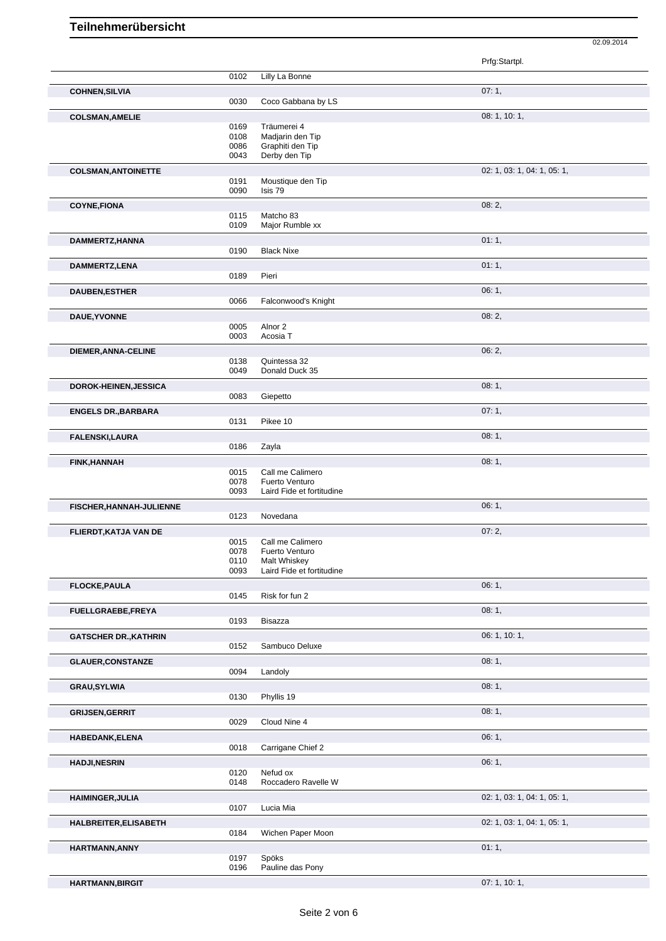Prfg:Startpl. 0102 Lilly La Bonne **COHNEN,SILVIA** 07: 1, 0030 Coco Gabbana by LS **COLSMAN,AMELIE** 08: 1, 10: 1, 0169 Träumerei 4 0108 Madjarin den Tip 0086 Graphiti den Tip<br>0043 Derby den Tip Derby den Tip **COLSMAN,ANTOINETTE** 02: 1, 03: 1, 04: 1, 05: 1, 0191 Moustique den Tip<br>0090 lsis 79 Isis 79 **COYNE,FIONA** 08: 2, 0115 Matcho 83<br>0109 Major Rum Major Rumble xx **DAMMERTZ,HANNA** 01: 1, 01: 1, 01: 1, 01: 1, 01: 1, 01: 1, 01: 1, 01: 1, 01: 1, 01: 1, 01: 1, 01: 1, 01: 1, 01: 1, **Black Nixe DAMMERTZ,LENA** 01: 1, 0189 **DAUBEN, ESTHER** 06: 1, 06: 1, 06: 1, 06: 1, 06: 1, 06: 1, 06: 1, 06: 1, 06: 1, 06: 1, 06: 1, 06: 1, 06: 1, 06: 1, 06: 1, 06: 1, 06: 1, 06: 1, 06: 1, 06: 1, 06: 1, 06: 1, 06: 1, 06: 1, 06: 1, 06: 1, 06: 1, 07: 07: 07: 07: Falconwood's Knight **DAUE, YVONNE** 08: 2, 0005 Alnor 2<br>0003 Acosia Acosia T **DIEMER,ANNA-CELINE** 06: 2,<br>
06: 2,<br>
0138 Quintessa 32 0138 Quintessa 32<br>0049 Donald Duck Donald Duck 35 **DOROK-HEINEN,JESSICA** 08: 1, Giepetto **ENGELS DR.,BARBARA** 07: 1, 0131 Pikee 10 Pikee 10 **FALENSKI,LAURA** 08: 1, 08: 1, 08: 1, 08: 1, 08: 1, 08: 1, 08: 1, 08: 1, 08: 1, 08: 1, 08: 1, 08: 1, 09: 08: 1, 0 Zayla **FINK,HANNAH** 08: 1, 0015 Call me Calimero 0078 Fuerto Venturo 0093 Laird Fide et fortitudine **FISCHER, HANNAH-JULIENNE** 0123 Novedana **CONSERVERGENER, HANNAH-JULIENNE** 06: 1, Novedana **FLIERDT, KATJA VAN DE** 07: 2, 0015 Call me Calimero 07: 2, 07: 2, 0015 Call me Calimero<br>0078 Fuerto Venturo 0078 Fuerto Venturo<br>0110 Malt Whiskey 0110 Malt Whiskey<br>0093 Laird Fide et f Laird Fide et fortitudine **FLOCKE,PAULA** 06: 1, Risk for fun 2 **FUELLGRAEBE,FREYA** 08: 1, Bisazza GATSCHER DR.,KATHRIN **CONSERVER DR.,KATHRIN** 06: 1, 10: 1, Sambuco Deluxe **GLAUER, CONSTANZE** 08: 1, 0094 Landoly 0094 Landoly 08: 1, 08: 1, Landoly **GRAU,SYLWIA** 08: 1, Phyllis 19 **GRIJSEN,GERRIT** 08: 1, 0029 Cloud Nine 4 Cloud Nine 4 **HABEDANK,ELENA** 06: 1, 0018 Carrigane Chief 2 **HADJI,NESRIN** 06: 1, 0120 Nefud ox 0148 Roccadero Ravelle W **HAIMINGER,JULIA** 02: 1, 03: 1, 04: 1, 05: 1, 05: 1, 05: 1, 05: 1, 05: 1, 05: 1, 05: 1, 05: 1, 05: 1, 05: 1, 05: 1, 05: 1, 05: 1, 05: 1, 05: 1, 05: 1, 05: 1, 05: 1, 05: 1, 05: 1, 05: 1, 05: 1, 05: 1, 05: 1, 05: 1, 05: 1, 0 0107 Lucia Mia **HALBREITER,ELISABETH** 02: 1, 03: 1, 04: 1, 05: 1, 0184 Wichen Paper Moon **HARTMANN,ANNY** 01: 1, 01: 1, 01: 1, 01: 1, 01: 1, 01: 1, 01: 1, 01: 1, 01: 1, 01: 1, 01: 1, 01: 1, 01: 1, 01: 1, 01: 1, 01: 1, 01: 1, 01: 1, 01: 1, 01: 1, 01: 1, 01: 1, 01: 1, 01: 1, 01: 1, 01: 1, 01: 01: 01: 01: 01: 01: 0197 Spöks 0196 Pauline das Pony

**HARTMANN,BIRGIT** 07: 1, 10: 1,

02.09.2014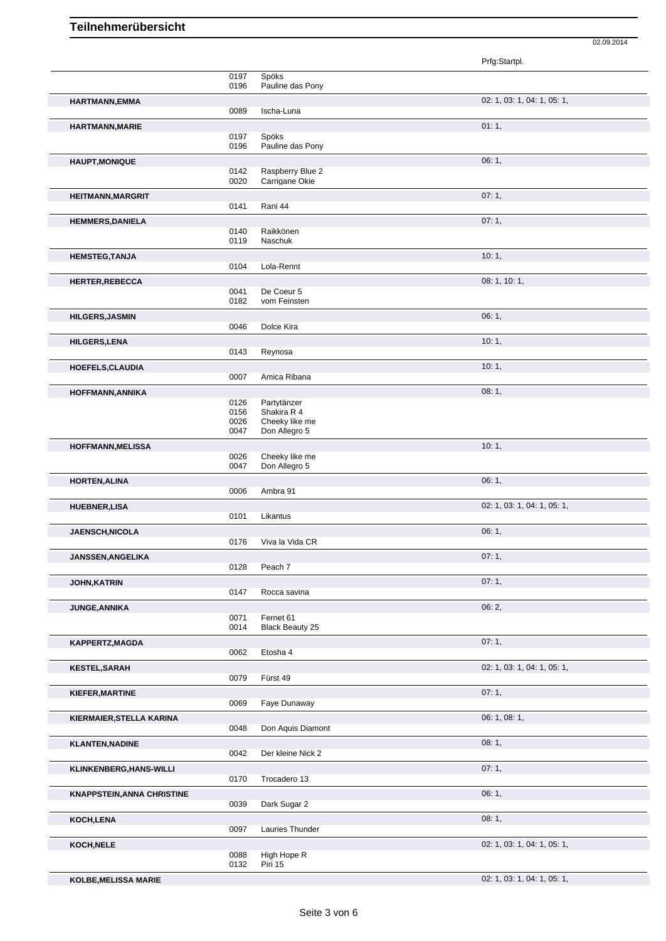|                                   |              |                                 | 02.09.2014                  |
|-----------------------------------|--------------|---------------------------------|-----------------------------|
|                                   |              |                                 | Prfg:Startpl.               |
|                                   | 0197         | Spöks                           |                             |
|                                   | 0196         | Pauline das Pony                |                             |
| HARTMANN, EMMA                    | 0089         | Ischa-Luna                      | 02: 1, 03: 1, 04: 1, 05: 1, |
| <b>HARTMANN, MARIE</b>            |              |                                 | 01:1,                       |
|                                   | 0197<br>0196 | Spöks<br>Pauline das Pony       |                             |
| <b>HAUPT, MONIQUE</b>             |              |                                 | 06:1,                       |
|                                   | 0142         | Raspberry Blue 2                |                             |
|                                   | 0020         | Carrigane Okie                  |                             |
| <b>HEITMANN, MARGRIT</b>          | 0141         | Rani 44                         | 07:1,                       |
| <b>HEMMERS, DANIELA</b>           |              |                                 | 07:1,                       |
|                                   | 0140<br>0119 | Raikkönen<br>Naschuk            |                             |
| <b>HEMSTEG, TANJA</b>             |              |                                 | 10:1,                       |
|                                   | 0104         | Lola-Rennt                      |                             |
| <b>HERTER, REBECCA</b>            |              |                                 | 08: 1, 10: 1,               |
|                                   | 0041<br>0182 | De Coeur 5<br>vom Feinsten      |                             |
| <b>HILGERS, JASMIN</b>            |              |                                 | 06:1,                       |
|                                   | 0046         | Dolce Kira                      |                             |
| <b>HILGERS,LENA</b>               |              |                                 | 10:1,                       |
|                                   | 0143         | Reynosa                         |                             |
| HOEFELS, CLAUDIA                  | 0007         | Amica Ribana                    | 10:1,                       |
| HOFFMANN, ANNIKA                  |              |                                 | 08:1,                       |
|                                   | 0126         | Partytänzer                     |                             |
|                                   | 0156<br>0026 | Shakira R 4<br>Cheeky like me   |                             |
|                                   | 0047         | Don Allegro 5                   |                             |
| <b>HOFFMANN, MELISSA</b>          |              |                                 | 10:1,                       |
|                                   | 0026<br>0047 | Cheeky like me<br>Don Allegro 5 |                             |
| <b>HORTEN, ALINA</b>              |              |                                 | 06:1,                       |
|                                   | 0006         | Ambra 91                        |                             |
| <b>HUEBNER,LISA</b>               |              | Likantus                        | 02: 1, 03: 1, 04: 1, 05: 1, |
|                                   | 0101         |                                 |                             |
| <b>JAENSCH, NICOLA</b>            | 0176         | Viva la Vida CR                 | 06:1,                       |
| JANSSEN, ANGELIKA                 |              |                                 | 07:1,                       |
|                                   | 0128         | Peach 7                         |                             |
| <b>JOHN, KATRIN</b>               |              | Rocca savina                    | 07:1,                       |
|                                   | 0147         |                                 | 06:2,                       |
| <b>JUNGE, ANNIKA</b>              | 0071         | Fernet 61                       |                             |
|                                   | 0014         | <b>Black Beauty 25</b>          |                             |
| KAPPERTZ, MAGDA                   | 0062         | Etosha 4                        | 07:1,                       |
|                                   |              |                                 | 02: 1, 03: 1, 04: 1, 05: 1, |
| <b>KESTEL, SARAH</b>              | 0079         | Fürst 49                        |                             |
| KIEFER, MARTINE                   |              |                                 | 07:1,                       |
|                                   | 0069         | Faye Dunaway                    |                             |
| KIERMAIER, STELLA KARINA          |              |                                 | 06: 1, 08: 1,               |
|                                   | 0048         | Don Aquis Diamont               |                             |
| <b>KLANTEN, NADINE</b>            | 0042         | Der kleine Nick 2               | 08:1,                       |
| KLINKENBERG, HANS-WILLI           |              |                                 | 07:1,                       |
|                                   | 0170         | Trocadero 13                    |                             |
| <b>KNAPPSTEIN, ANNA CHRISTINE</b> |              |                                 | 06:1,                       |
|                                   | 0039         | Dark Sugar 2                    |                             |
| KOCH, LENA                        | 0097         | Lauries Thunder                 | 08:1,                       |
| KOCH, NELE                        |              |                                 | 02: 1, 03: 1, 04: 1, 05: 1, |
|                                   | 0088         | High Hope R                     |                             |
|                                   | 0132         | Piri 15                         |                             |
| <b>KOLBE, MELISSA MARIE</b>       |              |                                 | 02: 1, 03: 1, 04: 1, 05: 1, |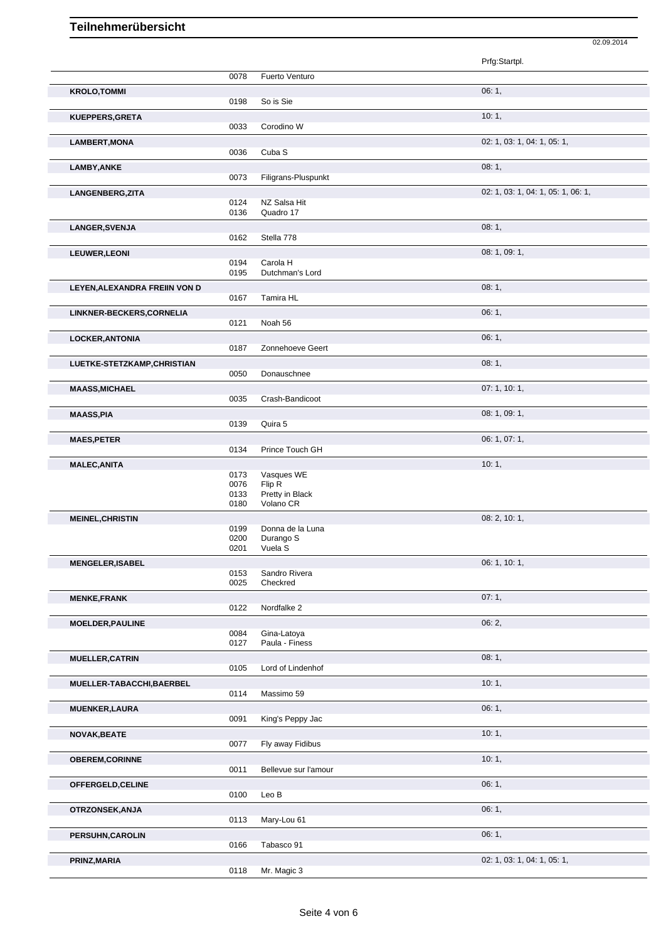|                               |              |                           | Prfg:Startpl.                      |
|-------------------------------|--------------|---------------------------|------------------------------------|
|                               | 0078         | Fuerto Venturo            |                                    |
|                               |              |                           | 06:1,                              |
| <b>KROLO, TOMMI</b>           | 0198         | So is Sie                 |                                    |
|                               |              |                           |                                    |
| KUEPPERS, GRETA               |              |                           | 10:1,                              |
|                               | 0033         | Corodino W                |                                    |
| <b>LAMBERT, MONA</b>          |              |                           | 02: 1, 03: 1, 04: 1, 05: 1,        |
|                               | 0036         | Cuba <sub>S</sub>         |                                    |
| <b>LAMBY, ANKE</b>            |              |                           | 08:1,                              |
|                               | 0073         | Filigrans-Pluspunkt       |                                    |
| LANGENBERG, ZITA              |              |                           | 02: 1, 03: 1, 04: 1, 05: 1, 06: 1, |
|                               | 0124         | NZ Salsa Hit              |                                    |
|                               | 0136         | Quadro 17                 |                                    |
| LANGER, SVENJA                |              |                           | 08:1,                              |
|                               | 0162         | Stella 778                |                                    |
|                               |              |                           | 08: 1, 09: 1,                      |
| <b>LEUWER, LEONI</b>          | 0194         | Carola H                  |                                    |
|                               | 0195         | Dutchman's Lord           |                                    |
|                               |              |                           | 08:1,                              |
| LEYEN, ALEXANDRA FREIIN VON D | 0167         | Tamira HL                 |                                    |
|                               |              |                           |                                    |
| LINKNER-BECKERS, CORNELIA     |              |                           | 06:1,                              |
|                               | 0121         | Noah 56                   |                                    |
| <b>LOCKER, ANTONIA</b>        |              |                           | 06:1,                              |
|                               | 0187         | Zonnehoeve Geert          |                                    |
| LUETKE-STETZKAMP, CHRISTIAN   |              |                           | 08:1,                              |
|                               | 0050         | Donauschnee               |                                    |
| <b>MAASS, MICHAEL</b>         |              |                           | 07: 1, 10: 1,                      |
|                               | 0035         | Crash-Bandicoot           |                                    |
|                               |              |                           |                                    |
| <b>MAASS, PIA</b>             | 0139         | Quira 5                   | 08: 1, 09: 1,                      |
|                               |              |                           |                                    |
| <b>MAES, PETER</b>            |              |                           | 06: 1, 07: 1,                      |
|                               | 0134         | Prince Touch GH           |                                    |
| <b>MALEC, ANITA</b>           |              |                           | 10:1,                              |
|                               | 0173         | Vasques WE                |                                    |
|                               | 0076<br>0133 | Flip R<br>Pretty in Black |                                    |
|                               | 0180         | Volano CR                 |                                    |
|                               |              |                           | 08: 2, 10: 1,                      |
| <b>MEINEL, CHRISTIN</b>       | 0199         | Donna de la Luna          |                                    |
|                               | 0200         | Durango S                 |                                    |
|                               | 0201         | Vuela S                   |                                    |
| <b>MENGELER, ISABEL</b>       |              |                           | 06: 1, 10: 1,                      |
|                               | 0153         | Sandro Rivera             |                                    |
|                               | 0025         | Checkred                  |                                    |
| <b>MENKE, FRANK</b>           |              |                           | 07:1,                              |
|                               | 0122         | Nordfalke 2               |                                    |
|                               |              |                           | 06: 2,                             |
| <b>MOELDER, PAULINE</b>       | 0084         | Gina-Latoya               |                                    |
|                               | 0127         | Paula - Finess            |                                    |
|                               |              |                           | 08:1,                              |
| <b>MUELLER, CATRIN</b>        | 0105         | Lord of Lindenhof         |                                    |
|                               |              |                           |                                    |
| MUELLER-TABACCHI, BAERBEL     |              |                           | 10:1,                              |
|                               | 0114         | Massimo 59                |                                    |
| <b>MUENKER, LAURA</b>         |              |                           | 06:1,                              |
|                               | 0091         | King's Peppy Jac          |                                    |
| <b>NOVAK, BEATE</b>           |              |                           | 10:1,                              |
|                               | 0077         | Fly away Fidibus          |                                    |
| <b>OBEREM, CORINNE</b>        |              |                           | 10:1,                              |
|                               | 0011         | Bellevue sur l'amour      |                                    |
|                               |              |                           | 06:1,                              |
| OFFERGELD, CELINE             | 0100         | Leo B                     |                                    |
|                               |              |                           |                                    |
| OTRZONSEK, ANJA               | 0113         | Mary-Lou 61               | 06:1,                              |
|                               |              |                           |                                    |

02.09.2014

**PRINZ,MARIA** 02: 1, 03: 1, 04: 1, 05: 1, 05: 1, 05: 1, 05: 1, 05: 1, 05: 1, 05: 1, 05: 1, 05: 1, 05: 1, 05: 1, 05: 1, 05: 1, 05: 1, 05: 1, 05: 1, 05: 1, 05: 1, 05: 1, 05: 1, 05: 1, 05: 1, 05: 0, 0, 0, 0, 0, 0, 0, 0, 0, 0,

**PERSUHN,CAROLIN** 06: 1, Tabasco 91

Mr. Magic 3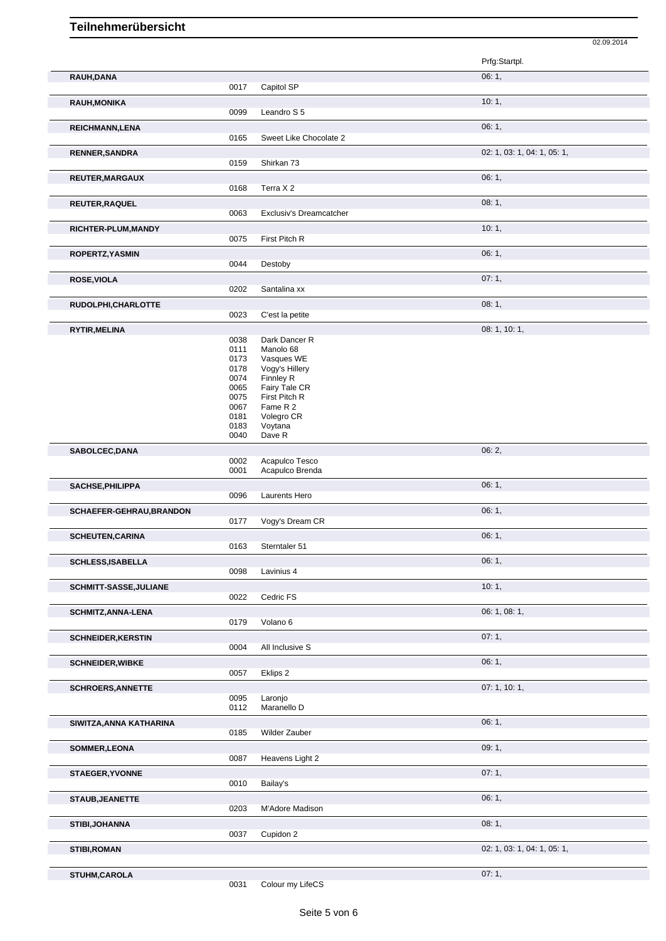|                           | 0017         | Capitol SP                        |                             |
|---------------------------|--------------|-----------------------------------|-----------------------------|
| <b>RAUH, MONIKA</b>       |              |                                   | 10:1,                       |
|                           | 0099         | Leandro S 5                       |                             |
| REICHMANN, LENA           |              |                                   | 06:1,                       |
|                           | 0165         | Sweet Like Chocolate 2            |                             |
|                           |              |                                   |                             |
| <b>RENNER, SANDRA</b>     |              |                                   | 02: 1, 03: 1, 04: 1, 05: 1, |
|                           | 0159         | Shirkan 73                        |                             |
| <b>REUTER, MARGAUX</b>    |              |                                   | 06:1,                       |
|                           | 0168         | Terra X 2                         |                             |
| REUTER, RAQUEL            |              |                                   | 08:1,                       |
|                           | 0063         | Exclusiv's Dreamcatcher           |                             |
|                           |              |                                   |                             |
| RICHTER-PLUM, MANDY       | 0075         | First Pitch R                     | 10:1,                       |
|                           |              |                                   |                             |
| ROPERTZ, YASMIN           |              |                                   | 06:1,                       |
|                           | 0044         | Destoby                           |                             |
| <b>ROSE, VIOLA</b>        |              |                                   | 07:1,                       |
|                           | 0202         | Santalina xx                      |                             |
| RUDOLPHI, CHARLOTTE       |              |                                   | 08:1,                       |
|                           | 0023         | C'est la petite                   |                             |
|                           |              |                                   |                             |
| RYTIR, MELINA             |              | Dark Dancer R                     | 08: 1, 10: 1,               |
|                           | 0038<br>0111 | Manolo 68                         |                             |
|                           | 0173         | Vasques WE                        |                             |
|                           | 0178         | Vogy's Hillery                    |                             |
|                           | 0074         | Finnley R                         |                             |
|                           | 0065         | Fairy Tale CR                     |                             |
|                           | 0075         | First Pitch R                     |                             |
|                           | 0067         | Fame R 2                          |                             |
|                           | 0181<br>0183 | Volegro CR<br>Voytana             |                             |
|                           | 0040         | Dave R                            |                             |
|                           |              |                                   |                             |
| SABOLCEC, DANA            |              |                                   | 06:2,                       |
|                           | 0002<br>0001 | Acapulco Tesco<br>Acapulco Brenda |                             |
|                           |              |                                   |                             |
| SACHSE, PHILIPPA          |              |                                   | 06:1,                       |
|                           | 0096         | Laurents Hero                     |                             |
| SCHAEFER-GEHRAU, BRANDON  |              |                                   | 06:1,                       |
|                           | 0177         | Vogy's Dream CR                   |                             |
| <b>SCHEUTEN, CARINA</b>   |              |                                   | 06:1,                       |
|                           | 0163         | Sterntaler 51                     |                             |
|                           |              |                                   | 06:1,                       |
| <b>SCHLESS, ISABELLA</b>  | 0098         | Lavinius 4                        |                             |
|                           |              |                                   |                             |
| SCHMITT-SASSE, JULIANE    |              |                                   | 10:1,                       |
|                           | 0022         | Cedric FS                         |                             |
| <b>SCHMITZ, ANNA-LENA</b> |              |                                   | 06: 1, 08: 1,               |
|                           | 0179         | Volano 6                          |                             |
| <b>SCHNEIDER, KERSTIN</b> |              |                                   | 07:1,                       |
|                           | 0004         | All Inclusive S                   |                             |
|                           |              |                                   | 06:1,                       |
| <b>SCHNEIDER, WIBKE</b>   | 0057         | Eklips 2                          |                             |
|                           |              |                                   |                             |
| <b>SCHROERS, ANNETTE</b>  |              |                                   | 07: 1, 10: 1,               |
|                           | 0095         | Laronjo<br>Maranello D            |                             |
|                           | 0112         |                                   |                             |
| SIWITZA, ANNA KATHARINA   |              |                                   | 06:1,                       |
|                           | 0185         | Wilder Zauber                     |                             |
| SOMMER, LEONA             |              |                                   | 09:1,                       |
|                           | 0087         | Heavens Light 2                   |                             |
| <b>STAEGER, YVONNE</b>    |              |                                   | 07:1,                       |
|                           | 0010         | Bailay's                          |                             |
|                           |              |                                   |                             |
| <b>STAUB, JEANETTE</b>    |              |                                   | 06:1,                       |
|                           | 0203         | M'Adore Madison                   |                             |
| STIBI, JOHANNA            |              |                                   |                             |
|                           |              |                                   | 08:1,                       |
|                           | 0037         | Cupidon 2                         |                             |
|                           |              |                                   | 02: 1, 03: 1, 04: 1, 05: 1, |
| <b>STIBI, ROMAN</b>       |              |                                   |                             |
| STUHM, CAROLA             |              |                                   | 07:1,                       |

**RAUH,DANA** 06: 1,

02.09.2014

Prfg:Startpl.

Seite 5 von 6

0031 Colour my LifeCS